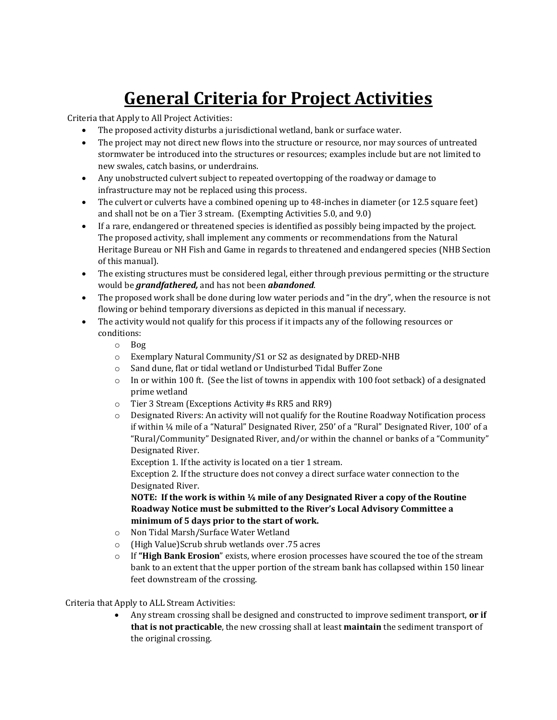## **General Criteria for Project Activities**

Criteria that Apply to All Project Activities:

- The proposed activity disturbs a jurisdictional wetland, bank or surface water.
- The project may not direct new flows into the structure or resource, nor may sources of untreated stormwater be introduced into the structures or resources; examples include but are not limited to new swales, catch basins, or underdrains.
- Any unobstructed culvert subject to repeated overtopping of the roadway or damage to infrastructure may not be replaced using this process.
- The culvert or culverts have a combined opening up to 48-inches in diameter (or 12.5 square feet) and shall not be on a Tier 3 stream. (Exempting Activities 5.0, and 9.0)
- If a rare, endangered or threatened species is identified as possibly being impacted by the project. The proposed activity, shall implement any comments or recommendations from the Natural Heritage Bureau or NH Fish and Game in regards to threatened and endangered species (NHB Section of this manual).
- The existing structures must be considered legal, either through previous permitting or the structure would be *grandfathered,* and has not been *abandoned*.
- The proposed work shall be done during low water periods and "in the dry", when the resource is not flowing or behind temporary diversions as depicted in this manual if necessary.
- The activity would not qualify for this process if it impacts any of the following resources or conditions:
	- o Bog
	- o Exemplary Natural Community/S1 or S2 as designated by DRED-NHB
	- o Sand dune, flat or tidal wetland or Undisturbed Tidal Buffer Zone
	- $\circ$  In or within 100 ft. (See the list of towns in appendix with 100 foot setback) of a designated prime wetland
	- o Tier 3 Stream (Exceptions Activity #s RR5 and RR9)
	- o Designated Rivers: An activity will not qualify for the Routine Roadway Notification process if within ¼ mile of a "Natural" Designated River, 250' of a "Rural" Designated River, 100' of a "Rural/Community" Designated River, and/or within the channel or banks of a "Community" Designated River.

Exception 1. If the activity is located on a tier 1 stream.

Exception 2. If the structure does not convey a direct surface water connection to the Designated River.

**NOTE: If the work is within ¼ mile of any Designated River a copy of the Routine Roadway Notice must be submitted to the River's Local Advisory Committee a minimum of 5 days prior to the start of work.** 

- o Non Tidal Marsh/Surface Water Wetland
- o (High Value)Scrub shrub wetlands over .75 acres
- o If **"High Bank Erosion**" exists, where erosion processes have scoured the toe of the stream bank to an extent that the upper portion of the stream bank has collapsed within 150 linear feet downstream of the crossing.

Criteria that Apply to ALL Stream Activities:

 Any stream crossing shall be designed and constructed to improve sediment transport, **or if that is not practicable**, the new crossing shall at least **maintain** the sediment transport of the original crossing.